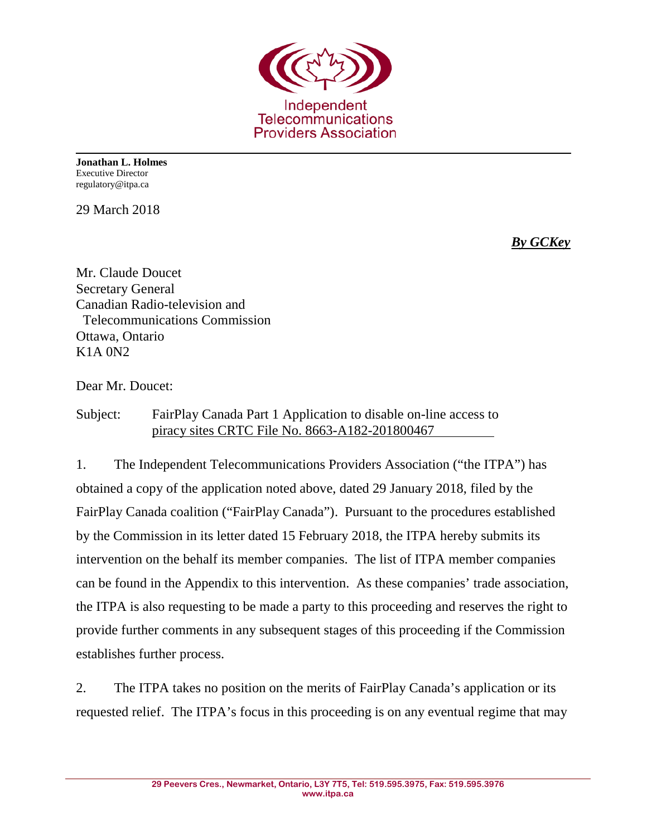

**Jonathan L. Holmes** Executive Director regulatory@itpa.ca

29 March 2018

*By GCKey*

Mr. Claude Doucet Secretary General Canadian Radio-television and Telecommunications Commission Ottawa, Ontario K1A 0N2

Dear Mr. Doucet:

Subject: FairPlay Canada Part 1 Application to disable on-line access to piracy sites CRTC File No. 8663-A182-201800467

1. The Independent Telecommunications Providers Association ("the ITPA") has obtained a copy of the application noted above, dated 29 January 2018, filed by the FairPlay Canada coalition ("FairPlay Canada"). Pursuant to the procedures established by the Commission in its letter dated 15 February 2018, the ITPA hereby submits its intervention on the behalf its member companies. The list of ITPA member companies can be found in the Appendix to this intervention. As these companies' trade association, the ITPA is also requesting to be made a party to this proceeding and reserves the right to provide further comments in any subsequent stages of this proceeding if the Commission establishes further process.

2. The ITPA takes no position on the merits of FairPlay Canada's application or its requested relief. The ITPA's focus in this proceeding is on any eventual regime that may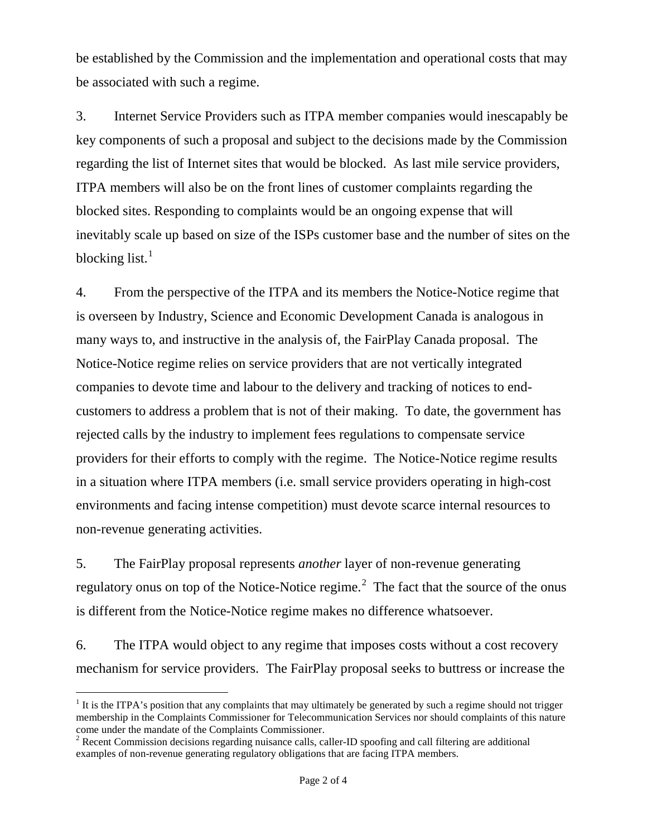be established by the Commission and the implementation and operational costs that may be associated with such a regime.

3. Internet Service Providers such as ITPA member companies would inescapably be key components of such a proposal and subject to the decisions made by the Commission regarding the list of Internet sites that would be blocked. As last mile service providers, ITPA members will also be on the front lines of customer complaints regarding the blocked sites. Responding to complaints would be an ongoing expense that will inevitably scale up based on size of the ISPs customer base and the number of sites on the blocking list.<sup>[1](#page-1-0)</sup>

4. From the perspective of the ITPA and its members the Notice-Notice regime that is overseen by Industry, Science and Economic Development Canada is analogous in many ways to, and instructive in the analysis of, the FairPlay Canada proposal. The Notice-Notice regime relies on service providers that are not vertically integrated companies to devote time and labour to the delivery and tracking of notices to endcustomers to address a problem that is not of their making. To date, the government has rejected calls by the industry to implement fees regulations to compensate service providers for their efforts to comply with the regime. The Notice-Notice regime results in a situation where ITPA members (i.e. small service providers operating in high-cost environments and facing intense competition) must devote scarce internal resources to non-revenue generating activities.

5. The FairPlay proposal represents *another* layer of non-revenue generating regulatory onus on top of the Notice-Notice regime.<sup>[2](#page-1-1)</sup> The fact that the source of the onus is different from the Notice-Notice regime makes no difference whatsoever.

6. The ITPA would object to any regime that imposes costs without a cost recovery mechanism for service providers. The FairPlay proposal seeks to buttress or increase the

<span id="page-1-0"></span> $<sup>1</sup>$  It is the ITPA's position that any complaints that may ultimately be generated by such a regime should not trigger</sup> membership in the Complaints Commissioner for Telecommunication Services nor should complaints of this nature come under the mandate of the Complaints Commissioner. <sup>2</sup> Recent Commission decisions regarding nuisance calls, caller-ID spoofing and call filtering are additional

<span id="page-1-1"></span>examples of non-revenue generating regulatory obligations that are facing ITPA members.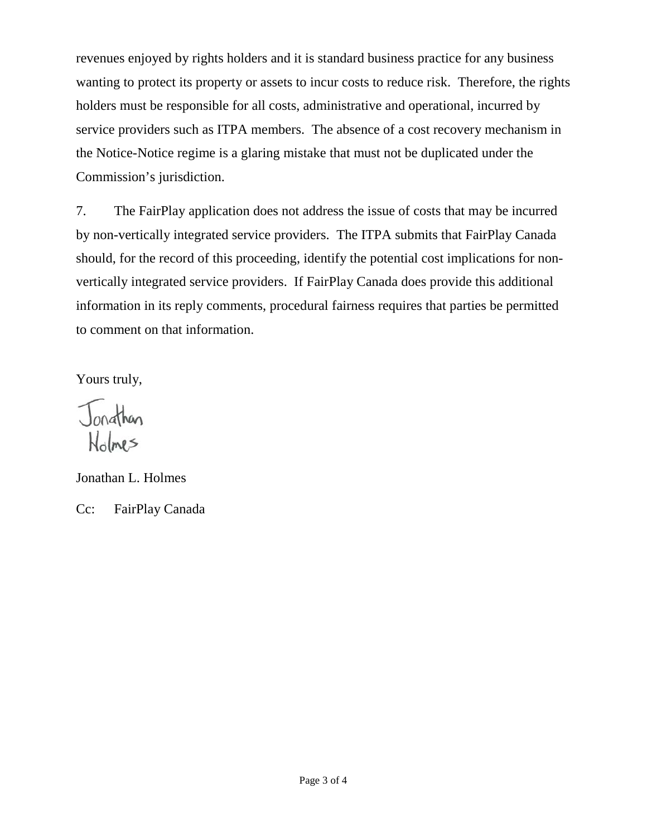revenues enjoyed by rights holders and it is standard business practice for any business wanting to protect its property or assets to incur costs to reduce risk. Therefore, the rights holders must be responsible for all costs, administrative and operational, incurred by service providers such as ITPA members. The absence of a cost recovery mechanism in the Notice-Notice regime is a glaring mistake that must not be duplicated under the Commission's jurisdiction.

7. The FairPlay application does not address the issue of costs that may be incurred by non-vertically integrated service providers. The ITPA submits that FairPlay Canada should, for the record of this proceeding, identify the potential cost implications for nonvertically integrated service providers. If FairPlay Canada does provide this additional information in its reply comments, procedural fairness requires that parties be permitted to comment on that information.

Yours truly,

Jonathan Holmes

Jonathan L. Holmes

Cc: FairPlay Canada